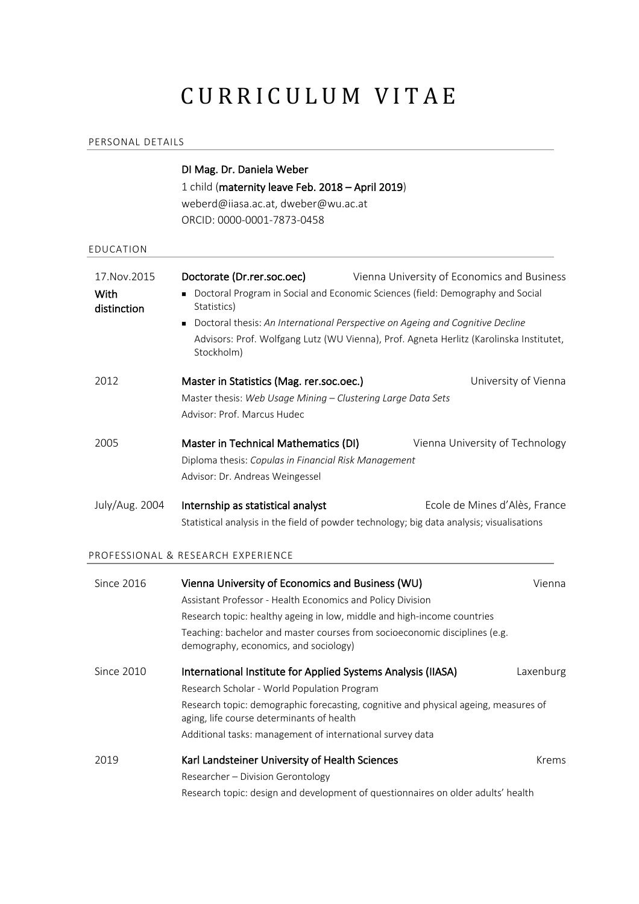# CURRICULUM VITAE

#### PERSONAL DETAILS

# DI Mag. Dr. Daniela Weber 1 child (maternity leave Feb. 2018 – April 2019) weberd@iiasa.ac.at, dweber@wu.ac.at ORCID: 0000-0001-7873-0458 EDUCATION 17.Nov.2015 With distinction **Doctorate (Dr.rer.soc.oec)** Vienna University of Economics and Business <sup>n</sup> Doctoral Program in Social and Economic Sciences (field: Demography and Social Statistics) ■ Doctoral thesis: An International Perspective on Ageing and Cognitive Decline Advisors: Prof. Wolfgang Lutz (WU Vienna), Prof. Agneta Herlitz (Karolinska Institutet, Stockholm) 2012 **Master in Statistics (Mag. rer.soc.oec.)** University of Vienna Master thesis: *Web Usage Mining – Clustering Large Data Sets* Advisor: Prof. Marcus Hudec 2005 Master in Technical Mathematics (DI) Vienna University of Technology Diploma thesis: *Copulas in Financial Risk Management* Advisor: Dr. Andreas Weingessel July/Aug. 2004 Internship as statistical analyst Ecole de Mines d'Alès, France Statistical analysis in the field of powder technology; big data analysis; visualisations PROFESSIONAL & RESEARCH EXPERIENCE Since 2016 Vienna University of Economics and Business (WU) Vienna Assistant Professor - Health Economics and Policy Division Research topic: healthy ageing in low, middle and high-income countries Teaching: bachelor and master courses from socioeconomic disciplines (e.g. demography, economics, and sociology) Since 2010 International Institute for Applied Systems Analysis (IIASA) Laxenburg Research Scholar - World Population Program Research topic: demographic forecasting, cognitive and physical ageing, measures of aging, life course determinants of health Additional tasks: management of international survey data 2019 **Karl Landsteiner University of Health Sciences** Krems Krems Researcher – Division Gerontology

Research topic: design and development of questionnaires on older adults' health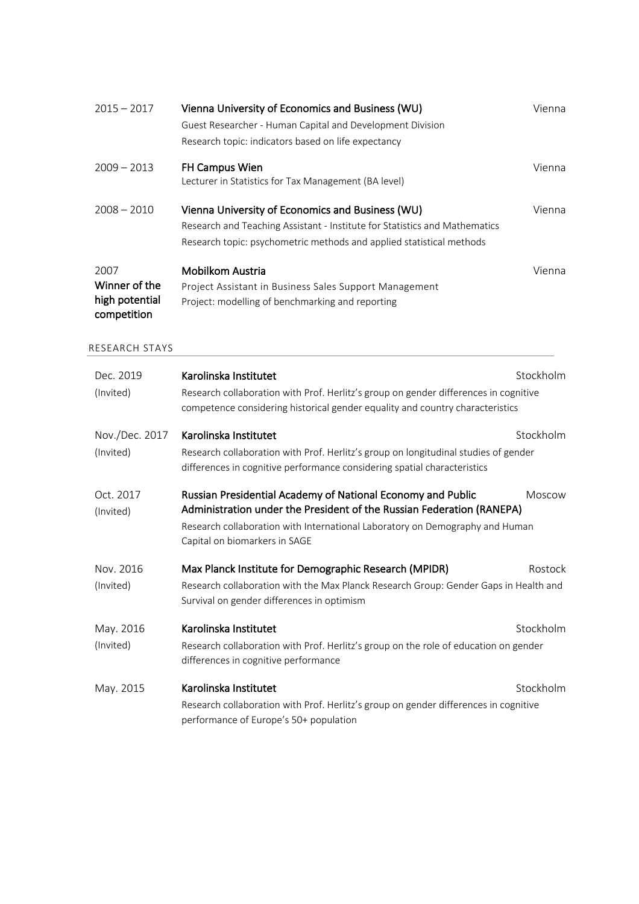| $2015 - 2017$                                          | Vienna University of Economics and Business (WU)<br>Guest Researcher - Human Capital and Development Division<br>Research topic: indicators based on life expectancy                                                                                  | Vienna    |
|--------------------------------------------------------|-------------------------------------------------------------------------------------------------------------------------------------------------------------------------------------------------------------------------------------------------------|-----------|
| $2009 - 2013$                                          | FH Campus Wien<br>Lecturer in Statistics for Tax Management (BA level)                                                                                                                                                                                | Vienna    |
| $2008 - 2010$                                          | Vienna University of Economics and Business (WU)<br>Research and Teaching Assistant - Institute for Statistics and Mathematics<br>Research topic: psychometric methods and applied statistical methods                                                | Vienna    |
| 2007<br>Winner of the<br>high potential<br>competition | Mobilkom Austria<br>Project Assistant in Business Sales Support Management<br>Project: modelling of benchmarking and reporting                                                                                                                        | Vienna    |
| RESEARCH STAYS                                         |                                                                                                                                                                                                                                                       |           |
| Dec. 2019<br>(Invited)                                 | Karolinska Institutet<br>Research collaboration with Prof. Herlitz's group on gender differences in cognitive<br>competence considering historical gender equality and country characteristics                                                        | Stockholm |
| Nov./Dec. 2017<br>(Invited)                            | Karolinska Institutet<br>Research collaboration with Prof. Herlitz's group on longitudinal studies of gender<br>differences in cognitive performance considering spatial characteristics                                                              | Stockholm |
| Oct. 2017<br>(Invited)                                 | Russian Presidential Academy of National Economy and Public<br>Administration under the President of the Russian Federation (RANEPA)<br>Research collaboration with International Laboratory on Demography and Human<br>Capital on biomarkers in SAGE | Moscow    |
| Nov. 2016<br>(Invited)                                 | Max Planck Institute for Demographic Research (MPIDR)<br>Research collaboration with the Max Planck Research Group: Gender Gaps in Health and<br>Survival on gender differences in optimism                                                           | Rostock   |
| May. 2016<br>(Invited)                                 | Karolinska Institutet<br>Research collaboration with Prof. Herlitz's group on the role of education on gender<br>differences in cognitive performance                                                                                                 | Stockholm |
| May. 2015                                              | Karolinska Institutet<br>Research collaboration with Prof. Herlitz's group on gender differences in cognitive<br>performance of Europe's 50+ population                                                                                               | Stockholm |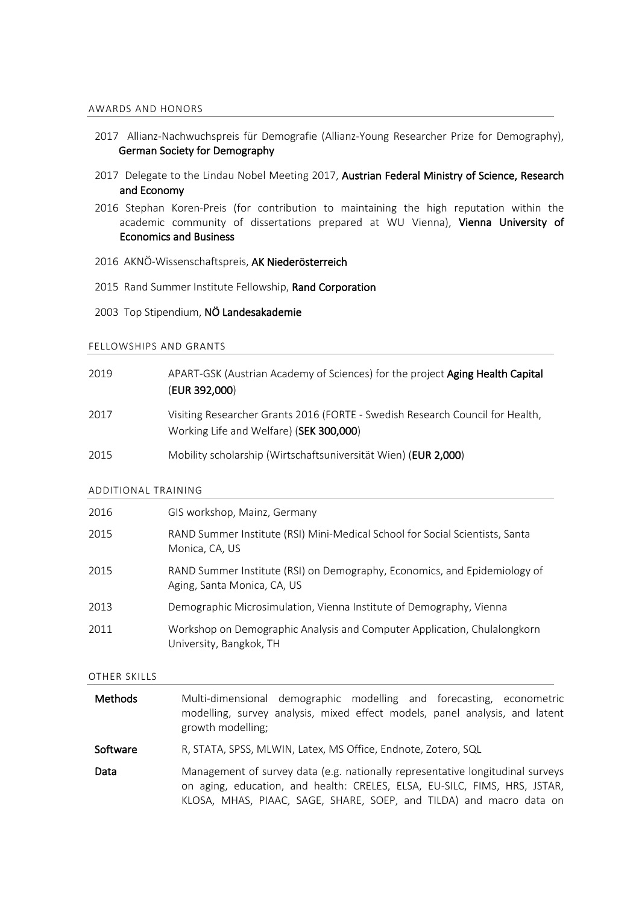#### AWARDS AND HONORS

- 2017 Allianz-Nachwuchspreis für Demografie (Allianz-Young Researcher Prize for Demography), German Society for Demography
- 2017 Delegate to the Lindau Nobel Meeting 2017, Austrian Federal Ministry of Science, Research and Economy
- 2016 Stephan Koren-Preis (for contribution to maintaining the high reputation within the academic community of dissertations prepared at WU Vienna), Vienna University of Economics and Business
- 2016 AKNÖ-Wissenschaftspreis, AK Niederösterreich
- 2015 Rand Summer Institute Fellowship, Rand Corporation
- 2003 Top Stipendium, NÖ Landesakademie

#### FELLOWSHIPS AND GRANTS

| 2019 | APART-GSK (Austrian Academy of Sciences) for the project Aging Health Capital<br>(EUR 392,000)                           |
|------|--------------------------------------------------------------------------------------------------------------------------|
| 2017 | Visiting Researcher Grants 2016 (FORTE - Swedish Research Council for Health,<br>Working Life and Welfare) (SEK 300,000) |
| 2015 | Mobility scholarship (Wirtschaftsuniversität Wien) (EUR 2,000)                                                           |

#### ADDITIONAL TRAINING

| 2016 | GIS workshop, Mainz, Germany                                                                             |
|------|----------------------------------------------------------------------------------------------------------|
| 2015 | RAND Summer Institute (RSI) Mini-Medical School for Social Scientists, Santa<br>Monica, CA, US           |
| 2015 | RAND Summer Institute (RSI) on Demography, Economics, and Epidemiology of<br>Aging, Santa Monica, CA, US |
| 2013 | Demographic Microsimulation, Vienna Institute of Demography, Vienna                                      |
| 2011 | Workshop on Demographic Analysis and Computer Application, Chulalongkorn<br>University, Bangkok, TH      |

#### OTHER SKILLS

| Methods  | Multi-dimensional demographic modelling and forecasting, econometric<br>modelling, survey analysis, mixed effect models, panel analysis, and latent<br>growth modelling;                                                           |
|----------|------------------------------------------------------------------------------------------------------------------------------------------------------------------------------------------------------------------------------------|
| Software | R, STATA, SPSS, MLWIN, Latex, MS Office, Endnote, Zotero, SQL                                                                                                                                                                      |
| Data     | Management of survey data (e.g. nationally representative longitudinal surveys<br>on aging, education, and health: CRELES, ELSA, EU-SILC, FIMS, HRS, JSTAR,<br>KLOSA, MHAS, PIAAC, SAGE, SHARE, SOEP, and TILDA) and macro data on |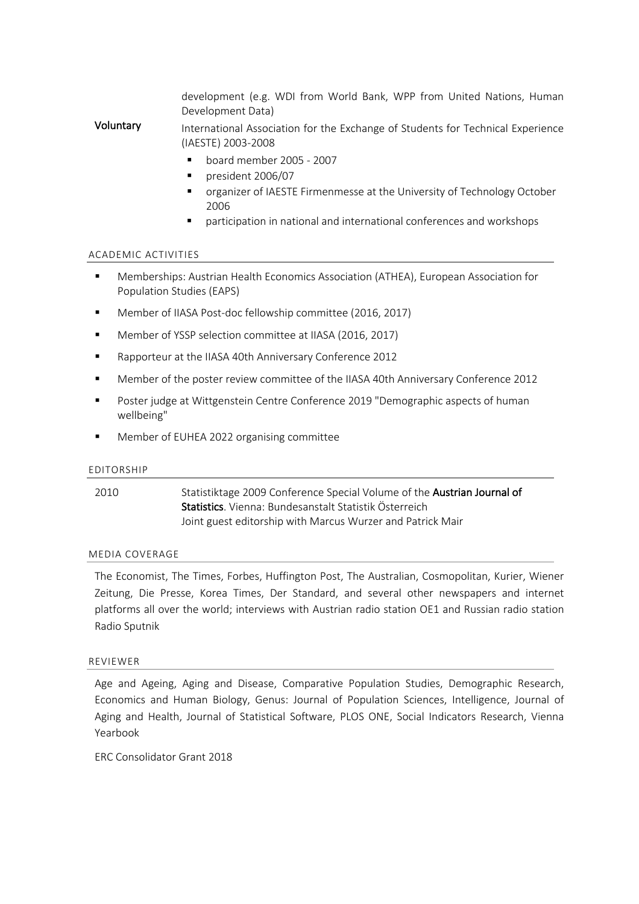development (e.g. WDI from World Bank, WPP from United Nations, Human Development Data)

Voluntary International Association for the Exchange of Students for Technical Experience (IAESTE) 2003-2008

- § board member 2005 2007
- § president 2006/07
- organizer of IAESTE Firmenmesse at the University of Technology October 2006
- § participation in national and international conferences and workshops

#### ACADEMIC ACTIVITIES

- Memberships: Austrian Health Economics Association (ATHEA), European Association for Population Studies (EAPS)
- Member of IIASA Post-doc fellowship committee (2016, 2017)
- Member of YSSP selection committee at IIASA (2016, 2017)
- Rapporteur at the IIASA 40th Anniversary Conference 2012
- § Member of the poster review committee of the IIASA 40th Anniversary Conference 2012
- Poster judge at Wittgenstein Centre Conference 2019 "Demographic aspects of human wellbeing"
- § Member of EUHEA 2022 organising committee

#### EDITORSHIP

2010 Statistiktage 2009 Conference Special Volume of the **Austrian Journal of** Statistics. Vienna: Bundesanstalt Statistik Österreich Joint guest editorship with Marcus Wurzer and Patrick Mair

#### MEDIA COVERAGE

The Economist, The Times, Forbes, Huffington Post, The Australian, Cosmopolitan, Kurier, Wiener Zeitung, Die Presse, Korea Times, Der Standard, and several other newspapers and internet platforms all over the world; interviews with Austrian radio station OE1 and Russian radio station Radio Sputnik

#### REVIEWER

Age and Ageing, Aging and Disease, Comparative Population Studies, Demographic Research, Economics and Human Biology, Genus: Journal of Population Sciences, Intelligence, Journal of Aging and Health, Journal of Statistical Software, PLOS ONE, Social Indicators Research, Vienna Yearbook

ERC Consolidator Grant 2018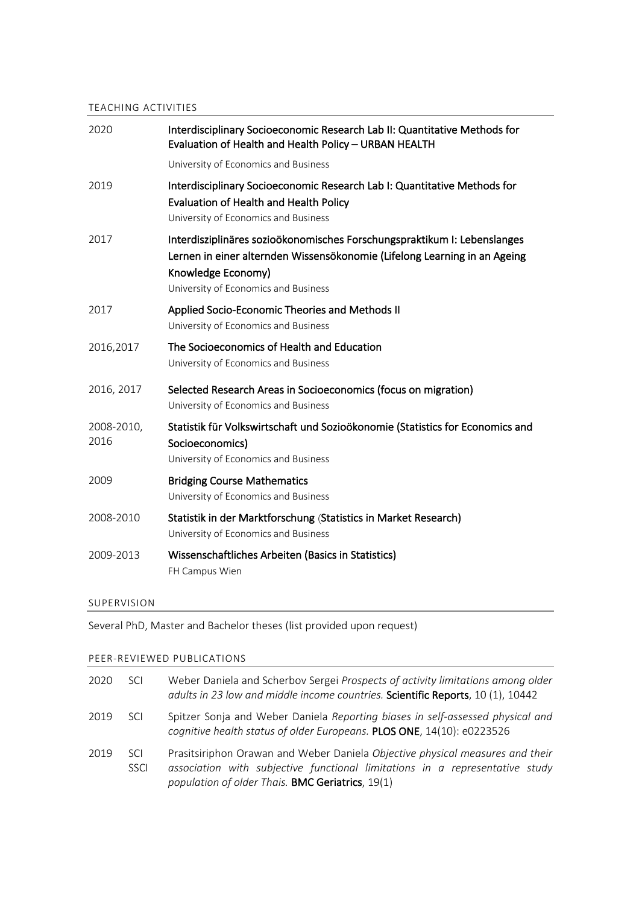# TEACHING ACTIVITIES

| 2020               | Interdisciplinary Socioeconomic Research Lab II: Quantitative Methods for<br>Evaluation of Health and Health Policy - URBAN HEALTH                                                                                  |
|--------------------|---------------------------------------------------------------------------------------------------------------------------------------------------------------------------------------------------------------------|
|                    | University of Economics and Business                                                                                                                                                                                |
| 2019               | Interdisciplinary Socioeconomic Research Lab I: Quantitative Methods for<br>Evaluation of Health and Health Policy<br>University of Economics and Business                                                          |
| 2017               | Interdisziplinäres sozioökonomisches Forschungspraktikum I: Lebenslanges<br>Lernen in einer alternden Wissensökonomie (Lifelong Learning in an Ageing<br>Knowledge Economy)<br>University of Economics and Business |
| 2017               | Applied Socio-Economic Theories and Methods II<br>University of Economics and Business                                                                                                                              |
| 2016,2017          | The Socioeconomics of Health and Education<br>University of Economics and Business                                                                                                                                  |
| 2016, 2017         | Selected Research Areas in Socioeconomics (focus on migration)<br>University of Economics and Business                                                                                                              |
| 2008-2010,<br>2016 | Statistik für Volkswirtschaft und Sozioökonomie (Statistics for Economics and<br>Socioeconomics)<br>University of Economics and Business                                                                            |
| 2009               | <b>Bridging Course Mathematics</b><br>University of Economics and Business                                                                                                                                          |
| 2008-2010          | Statistik in der Marktforschung (Statistics in Market Research)<br>University of Economics and Business                                                                                                             |
| 2009-2013          | Wissenschaftliches Arbeiten (Basics in Statistics)<br>FH Campus Wien                                                                                                                                                |
|                    |                                                                                                                                                                                                                     |

# SUPERVISION

Several PhD, Master and Bachelor theses (list provided upon request)

# PEER-REVIEWED PUBLICATIONS

| 2020 | <b>SCI</b>                | Weber Daniela and Scherbov Sergei Prospects of activity limitations among older<br>adults in 23 low and middle income countries. Scientific Reports, 10 (1), 10442                                                |
|------|---------------------------|-------------------------------------------------------------------------------------------------------------------------------------------------------------------------------------------------------------------|
| 2019 | <b>SCI</b>                | Spitzer Sonja and Weber Daniela Reporting biases in self-assessed physical and<br>cognitive health status of older Europeans. PLOS ONE, 14(10): e0223526                                                          |
| 2019 | <b>SCL</b><br><b>SSCI</b> | Prasitsiriphon Orawan and Weber Daniela Objective physical measures and their<br>association with subjective functional limitations in a representative study<br>population of older Thais. BMC Geriatrics, 19(1) |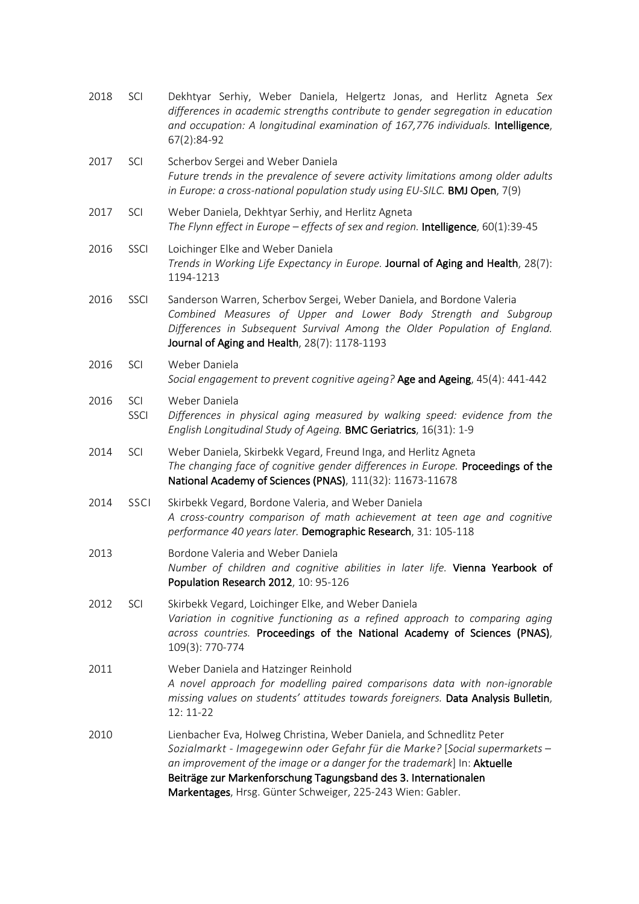| 2018 | SCI                | Dekhtyar Serhiy, Weber Daniela, Helgertz Jonas, and Herlitz Agneta Sex<br>differences in academic strengths contribute to gender segregation in education<br>and occupation: A longitudinal examination of 167,776 individuals. Intelligence,<br>67(2):84-92                                                                                                     |
|------|--------------------|------------------------------------------------------------------------------------------------------------------------------------------------------------------------------------------------------------------------------------------------------------------------------------------------------------------------------------------------------------------|
| 2017 | SCI                | Scherbov Sergei and Weber Daniela<br>Future trends in the prevalence of severe activity limitations among older adults<br>in Europe: a cross-national population study using EU-SILC. BMJ Open, 7(9)                                                                                                                                                             |
| 2017 | SCI                | Weber Daniela, Dekhtyar Serhiy, and Herlitz Agneta<br>The Flynn effect in Europe - effects of sex and region. Intelligence, 60(1):39-45                                                                                                                                                                                                                          |
| 2016 | SSCI               | Loichinger Elke and Weber Daniela<br>Trends in Working Life Expectancy in Europe. Journal of Aging and Health, 28(7):<br>1194-1213                                                                                                                                                                                                                               |
| 2016 | SSCI               | Sanderson Warren, Scherbov Sergei, Weber Daniela, and Bordone Valeria<br>Combined Measures of Upper and Lower Body Strength and Subgroup<br>Differences in Subsequent Survival Among the Older Population of England.<br>Journal of Aging and Health, 28(7): 1178-1193                                                                                           |
| 2016 | SCI                | Weber Daniela<br>Social engagement to prevent cognitive ageing? Age and Ageing, 45(4): 441-442                                                                                                                                                                                                                                                                   |
| 2016 | SCI<br><b>SSCI</b> | Weber Daniela<br>Differences in physical aging measured by walking speed: evidence from the<br>English Longitudinal Study of Ageing. BMC Geriatrics, 16(31): 1-9                                                                                                                                                                                                 |
| 2014 | SCI                | Weber Daniela, Skirbekk Vegard, Freund Inga, and Herlitz Agneta<br>The changing face of cognitive gender differences in Europe. Proceedings of the<br>National Academy of Sciences (PNAS), 111(32): 11673-11678                                                                                                                                                  |
| 2014 | SSCI               | Skirbekk Vegard, Bordone Valeria, and Weber Daniela<br>A cross-country comparison of math achievement at teen age and cognitive<br>performance 40 years later. Demographic Research, 31: 105-118                                                                                                                                                                 |
| 2013 |                    | Bordone Valeria and Weber Daniela<br>Number of children and cognitive abilities in later life. Vienna Yearbook of<br>Population Research 2012, 10: 95-126                                                                                                                                                                                                        |
| 2012 | SCI                | Skirbekk Vegard, Loichinger Elke, and Weber Daniela<br>Variation in cognitive functioning as a refined approach to comparing aging<br>across countries. Proceedings of the National Academy of Sciences (PNAS),<br>109(3): 770-774                                                                                                                               |
| 2011 |                    | Weber Daniela and Hatzinger Reinhold<br>A novel approach for modelling paired comparisons data with non-ignorable<br>missing values on students' attitudes towards foreigners. Data Analysis Bulletin,<br>$12:11-22$                                                                                                                                             |
| 2010 |                    | Lienbacher Eva, Holweg Christina, Weber Daniela, and Schnedlitz Peter<br>Sozialmarkt - Imagegewinn oder Gefahr für die Marke? [Social supermarkets -<br>an improvement of the image or a danger for the trademark] In: Aktuelle<br>Beiträge zur Markenforschung Tagungsband des 3. Internationalen<br>Markentages, Hrsg. Günter Schweiger, 225-243 Wien: Gabler. |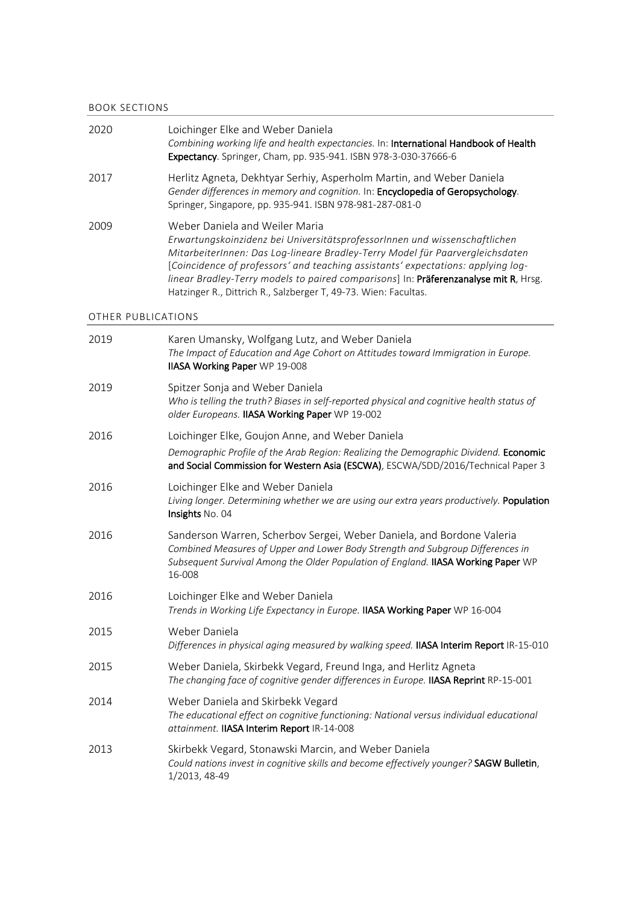#### BOOK SECTIONS

| 2020               | Loichinger Elke and Weber Daniela<br>Combining working life and health expectancies. In: International Handbook of Health<br>Expectancy. Springer, Cham, pp. 935-941. ISBN 978-3-030-37666-6                                                                                                                                                                                                                                                 |
|--------------------|----------------------------------------------------------------------------------------------------------------------------------------------------------------------------------------------------------------------------------------------------------------------------------------------------------------------------------------------------------------------------------------------------------------------------------------------|
| 2017               | Herlitz Agneta, Dekhtyar Serhiy, Asperholm Martin, and Weber Daniela<br>Gender differences in memory and cognition. In: Encyclopedia of Geropsychology.<br>Springer, Singapore, pp. 935-941. ISBN 978-981-287-081-0                                                                                                                                                                                                                          |
| 2009               | Weber Daniela and Weiler Maria<br>Erwartungskoinzidenz bei UniversitätsprofessorInnen und wissenschaftlichen<br>MitarbeiterInnen: Das Log-lineare Bradley-Terry Model für Paarvergleichsdaten<br>[Coincidence of professors' and teaching assistants' expectations: applying log-<br>linear Bradley-Terry models to paired comparisons] In: Präferenzanalyse mit R, Hrsg.<br>Hatzinger R., Dittrich R., Salzberger T, 49-73. Wien: Facultas. |
| OTHER PUBLICATIONS |                                                                                                                                                                                                                                                                                                                                                                                                                                              |
| 2019               | Karen Umansky, Wolfgang Lutz, and Weber Daniela<br>The Impact of Education and Age Cohort on Attitudes toward Immigration in Europe.<br>IIASA Working Paper WP 19-008                                                                                                                                                                                                                                                                        |
| 2019               | Spitzer Sonja and Weber Daniela<br>Who is telling the truth? Biases in self-reported physical and cognitive health status of<br>older Europeans. IIASA Working Paper WP 19-002                                                                                                                                                                                                                                                               |
| 2016               | Loichinger Elke, Goujon Anne, and Weber Daniela                                                                                                                                                                                                                                                                                                                                                                                              |
|                    | Demographic Profile of the Arab Region: Realizing the Demographic Dividend. Economic<br>and Social Commission for Western Asia (ESCWA), ESCWA/SDD/2016/Technical Paper 3                                                                                                                                                                                                                                                                     |
| 2016               | Loichinger Elke and Weber Daniela<br>Living longer. Determining whether we are using our extra years productively. Population<br>Insights No. 04                                                                                                                                                                                                                                                                                             |
| 2016               | Sanderson Warren, Scherbov Sergei, Weber Daniela, and Bordone Valeria<br>Combined Measures of Upper and Lower Body Strength and Subgroup Differences in<br>Subsequent Survival Among the Older Population of England. IIASA Working Paper WP<br>16-008                                                                                                                                                                                       |
| 2016               | Loichinger Elke and Weber Daniela<br>Trends in Working Life Expectancy in Europe. IIASA Working Paper WP 16-004                                                                                                                                                                                                                                                                                                                              |
| 2015               | Weber Daniela<br>Differences in physical aging measured by walking speed. IIASA Interim Report IR-15-010                                                                                                                                                                                                                                                                                                                                     |
| 2015               | Weber Daniela, Skirbekk Vegard, Freund Inga, and Herlitz Agneta<br>The changing face of cognitive gender differences in Europe. IIASA Reprint RP-15-001                                                                                                                                                                                                                                                                                      |
| 2014               | Weber Daniela and Skirbekk Vegard<br>The educational effect on cognitive functioning: National versus individual educational<br>attainment. IIASA Interim Report IR-14-008                                                                                                                                                                                                                                                                   |
| 2013               | Skirbekk Vegard, Stonawski Marcin, and Weber Daniela<br>Could nations invest in cognitive skills and become effectively younger? SAGW Bulletin,<br>1/2013, 48-49                                                                                                                                                                                                                                                                             |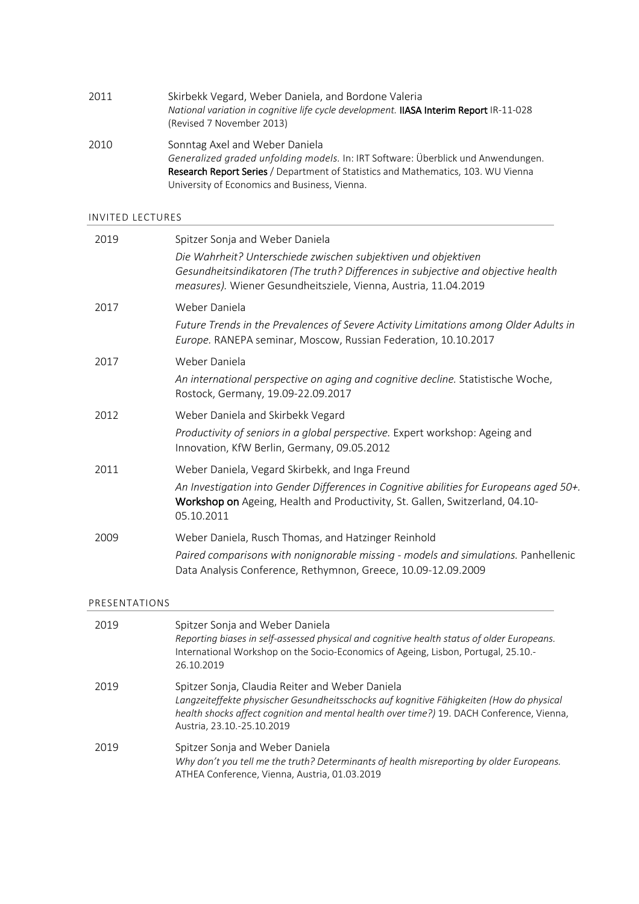| 2011 | Skirbekk Vegard, Weber Daniela, and Bordone Valeria                                    |
|------|----------------------------------------------------------------------------------------|
|      | National variation in cognitive life cycle development. IIASA Interim Report IR-11-028 |
|      | (Revised 7 November 2013)                                                              |
|      |                                                                                        |

2010 Sonntag Axel and Weber Daniela *Generalized graded unfolding models.* In: IRT Software: Überblick und Anwendungen. Research Report Series / Department of Statistics and Mathematics, 103. WU Vienna University of Economics and Business, Vienna.

#### INVITED LECTURES

| 2019 | Spitzer Sonja and Weber Daniela                                                                                                                                                                                        |
|------|------------------------------------------------------------------------------------------------------------------------------------------------------------------------------------------------------------------------|
|      | Die Wahrheit? Unterschiede zwischen subjektiven und objektiven<br>Gesundheitsindikatoren (The truth? Differences in subjective and objective health<br>measures). Wiener Gesundheitsziele, Vienna, Austria, 11.04.2019 |
| 2017 | Weber Daniela<br>Future Trends in the Prevalences of Severe Activity Limitations among Older Adults in<br>Europe. RANEPA seminar, Moscow, Russian Federation, 10.10.2017                                               |
| 2017 | Weber Daniela                                                                                                                                                                                                          |
|      | An international perspective on aging and cognitive decline. Statistische Woche,<br>Rostock, Germany, 19.09-22.09.2017                                                                                                 |
| 2012 | Weber Daniela and Skirbekk Vegard                                                                                                                                                                                      |
|      | Productivity of seniors in a global perspective. Expert workshop: Ageing and<br>Innovation, KfW Berlin, Germany, 09.05.2012                                                                                            |
| 2011 | Weber Daniela, Vegard Skirbekk, and Inga Freund                                                                                                                                                                        |
|      | An Investigation into Gender Differences in Cognitive abilities for Europeans aged 50+.<br>Workshop on Ageing, Health and Productivity, St. Gallen, Switzerland, 04.10-<br>05.10.2011                                  |
| 2009 | Weber Daniela, Rusch Thomas, and Hatzinger Reinhold                                                                                                                                                                    |
|      | Paired comparisons with nonignorable missing - models and simulations. Panhellenic<br>Data Analysis Conference, Rethymnon, Greece, 10.09-12.09.2009                                                                    |

### PRESENTATIONS

| 2019 | Spitzer Sonja and Weber Daniela<br>Reporting biases in self-assessed physical and cognitive health status of older Europeans.<br>International Workshop on the Socio-Economics of Ageing, Lisbon, Portugal, 25.10.-<br>26.10.2019                                      |
|------|------------------------------------------------------------------------------------------------------------------------------------------------------------------------------------------------------------------------------------------------------------------------|
| 2019 | Spitzer Sonja, Claudia Reiter and Weber Daniela<br>Langzeiteffekte physischer Gesundheitsschocks auf kognitive Fähigkeiten (How do physical<br>health shocks affect cognition and mental health over time?) 19. DACH Conference, Vienna,<br>Austria, 23.10.-25.10.2019 |
| 2019 | Spitzer Sonja and Weber Daniela<br>Why don't you tell me the truth? Determinants of health misreporting by older Europeans.<br>ATHEA Conference, Vienna, Austria, 01.03.2019                                                                                           |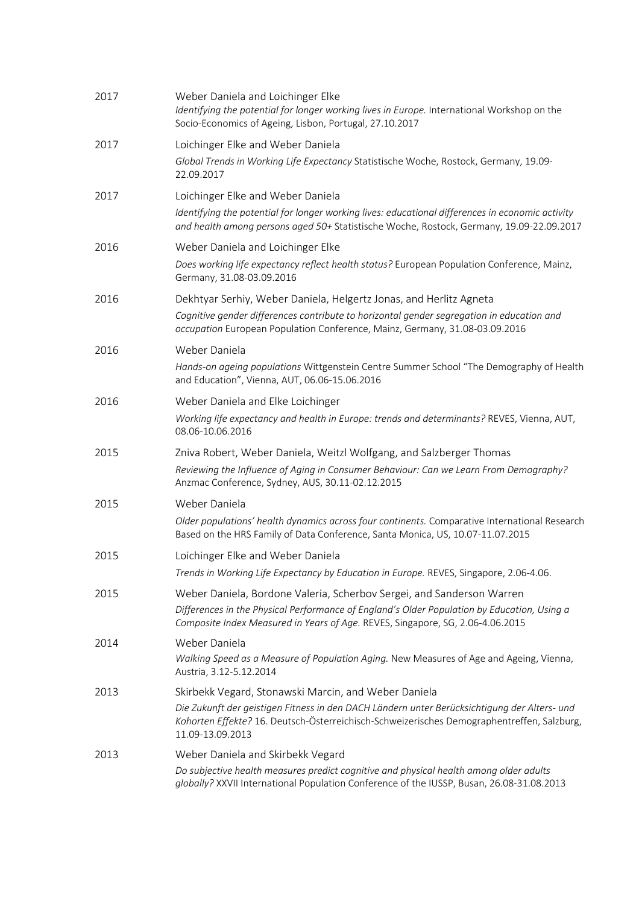| 2017 | Weber Daniela and Loichinger Elke<br>Identifying the potential for longer working lives in Europe. International Workshop on the<br>Socio-Economics of Ageing, Lisbon, Portugal, 27.10.2017                                                                            |
|------|------------------------------------------------------------------------------------------------------------------------------------------------------------------------------------------------------------------------------------------------------------------------|
| 2017 | Loichinger Elke and Weber Daniela<br>Global Trends in Working Life Expectancy Statistische Woche, Rostock, Germany, 19.09-<br>22.09.2017                                                                                                                               |
| 2017 | Loichinger Elke and Weber Daniela<br>Identifying the potential for longer working lives: educational differences in economic activity<br>and health among persons aged 50+ Statistische Woche, Rostock, Germany, 19.09-22.09.2017                                      |
| 2016 | Weber Daniela and Loichinger Elke<br>Does working life expectancy reflect health status? European Population Conference, Mainz,<br>Germany, 31.08-03.09.2016                                                                                                           |
| 2016 | Dekhtyar Serhiy, Weber Daniela, Helgertz Jonas, and Herlitz Agneta<br>Cognitive gender differences contribute to horizontal gender segregation in education and<br>occupation European Population Conference, Mainz, Germany, 31.08-03.09.2016                         |
| 2016 | Weber Daniela<br>Hands-on ageing populations Wittgenstein Centre Summer School "The Demography of Health<br>and Education", Vienna, AUT, 06.06-15.06.2016                                                                                                              |
| 2016 | Weber Daniela and Elke Loichinger<br>Working life expectancy and health in Europe: trends and determinants? REVES, Vienna, AUT,<br>08.06-10.06.2016                                                                                                                    |
| 2015 | Zniva Robert, Weber Daniela, Weitzl Wolfgang, and Salzberger Thomas<br>Reviewing the Influence of Aging in Consumer Behaviour: Can we Learn From Demography?<br>Anzmac Conference, Sydney, AUS, 30.11-02.12.2015                                                       |
| 2015 | Weber Daniela<br>Older populations' health dynamics across four continents. Comparative International Research<br>Based on the HRS Family of Data Conference, Santa Monica, US, 10.07-11.07.2015                                                                       |
| 2015 | Loichinger Elke and Weber Daniela<br>Trends in Working Life Expectancy by Education in Europe. REVES, Singapore, 2.06-4.06.                                                                                                                                            |
| 2015 | Weber Daniela, Bordone Valeria, Scherbov Sergei, and Sanderson Warren<br>Differences in the Physical Performance of England's Older Population by Education, Using a<br>Composite Index Measured in Years of Age. REVES, Singapore, SG, 2.06-4.06.2015                 |
| 2014 | Weber Daniela<br>Walking Speed as a Measure of Population Aging. New Measures of Age and Ageing, Vienna,<br>Austria, 3.12-5.12.2014                                                                                                                                    |
| 2013 | Skirbekk Vegard, Stonawski Marcin, and Weber Daniela<br>Die Zukunft der geistigen Fitness in den DACH Ländern unter Berücksichtigung der Alters- und<br>Kohorten Effekte? 16. Deutsch-Österreichisch-Schweizerisches Demographentreffen, Salzburg,<br>11.09-13.09.2013 |
| 2013 | Weber Daniela and Skirbekk Vegard<br>Do subjective health measures predict cognitive and physical health among older adults<br>globally? XXVII International Population Conference of the IUSSP, Busan, 26.08-31.08.2013                                               |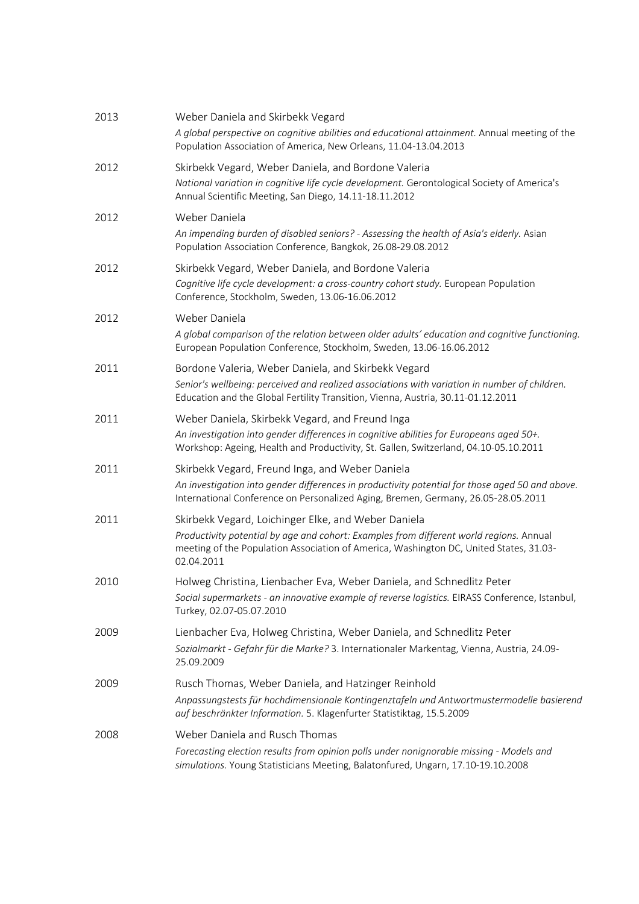| 2013 | Weber Daniela and Skirbekk Vegard<br>A global perspective on cognitive abilities and educational attainment. Annual meeting of the<br>Population Association of America, New Orleans, 11.04-13.04.2013                                                 |
|------|--------------------------------------------------------------------------------------------------------------------------------------------------------------------------------------------------------------------------------------------------------|
| 2012 | Skirbekk Vegard, Weber Daniela, and Bordone Valeria<br>National variation in cognitive life cycle development. Gerontological Society of America's<br>Annual Scientific Meeting, San Diego, 14.11-18.11.2012                                           |
| 2012 | Weber Daniela<br>An impending burden of disabled seniors? - Assessing the health of Asia's elderly. Asian<br>Population Association Conference, Bangkok, 26.08-29.08.2012                                                                              |
| 2012 | Skirbekk Vegard, Weber Daniela, and Bordone Valeria<br>Cognitive life cycle development: a cross-country cohort study. European Population<br>Conference, Stockholm, Sweden, 13.06-16.06.2012                                                          |
| 2012 | Weber Daniela<br>A global comparison of the relation between older adults' education and cognitive functioning.<br>European Population Conference, Stockholm, Sweden, 13.06-16.06.2012                                                                 |
| 2011 | Bordone Valeria, Weber Daniela, and Skirbekk Vegard<br>Senior's wellbeing: perceived and realized associations with variation in number of children.<br>Education and the Global Fertility Transition, Vienna, Austria, 30.11-01.12.2011               |
| 2011 | Weber Daniela, Skirbekk Vegard, and Freund Inga<br>An investigation into gender differences in cognitive abilities for Europeans aged 50+.<br>Workshop: Ageing, Health and Productivity, St. Gallen, Switzerland, 04.10-05.10.2011                     |
| 2011 | Skirbekk Vegard, Freund Inga, and Weber Daniela<br>An investigation into gender differences in productivity potential for those aged 50 and above.<br>International Conference on Personalized Aging, Bremen, Germany, 26.05-28.05.2011                |
| 2011 | Skirbekk Vegard, Loichinger Elke, and Weber Daniela<br>Productivity potential by age and cohort: Examples from different world regions. Annual<br>meeting of the Population Association of America, Washington DC, United States, 31.03-<br>02.04.2011 |
| 2010 | Holweg Christina, Lienbacher Eva, Weber Daniela, and Schnedlitz Peter<br>Social supermarkets - an innovative example of reverse logistics. EIRASS Conference, Istanbul,<br>Turkey, 02.07-05.07.2010                                                    |
| 2009 | Lienbacher Eva, Holweg Christina, Weber Daniela, and Schnedlitz Peter<br>Sozialmarkt - Gefahr für die Marke? 3. Internationaler Markentag, Vienna, Austria, 24.09-<br>25.09.2009                                                                       |
| 2009 | Rusch Thomas, Weber Daniela, and Hatzinger Reinhold<br>Anpassungstests für hochdimensionale Kontingenztafeln und Antwortmustermodelle basierend<br>auf beschränkter Information. 5. Klagenfurter Statistiktag, 15.5.2009                               |
| 2008 | Weber Daniela and Rusch Thomas<br>Forecasting election results from opinion polls under nonignorable missing - Models and<br>simulations. Young Statisticians Meeting, Balatonfured, Ungarn, 17.10-19.10.2008                                          |